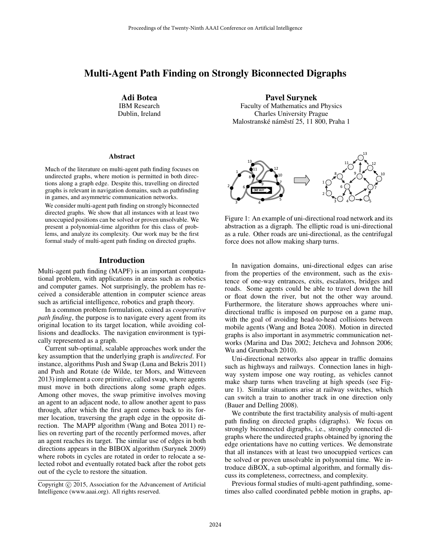# Multi-Agent Path Finding on Strongly Biconnected Digraphs

Adi Botea IBM Research Dublin, Ireland

#### Abstract

Much of the literature on multi-agent path finding focuses on undirected graphs, where motion is permitted in both directions along a graph edge. Despite this, travelling on directed graphs is relevant in navigation domains, such as pathfinding in games, and asymmetric communication networks.

We consider multi-agent path finding on strongly biconnected directed graphs. We show that all instances with at least two unoccupied positions can be solved or proven unsolvable. We present a polynomial-time algorithm for this class of problems, and analyze its complexity. Our work may be the first formal study of multi-agent path finding on directed graphs.

### Introduction

Multi-agent path finding (MAPF) is an important computational problem, with applications in areas such as robotics and computer games. Not surprisingly, the problem has received a considerable attention in computer science areas such as artificial intelligence, robotics and graph theory.

In a common problem formulation, coined as *cooperative path finding*, the purpose is to navigate every agent from its original location to its target location, while avoiding collisions and deadlocks. The navigation environment is typically represented as a graph.

Current sub-optimal, scalable approaches work under the key assumption that the underlying graph is *undirected*. For instance, algorithms Push and Swap (Luna and Bekris 2011) and Push and Rotate (de Wilde, ter Mors, and Witteveen 2013) implement a core primitive, called swap, where agents must move in both directions along some graph edges. Among other moves, the swap primitive involves moving an agent to an adjacent node, to allow another agent to pass through, after which the first agent comes back to its former location, traversing the graph edge in the opposite direction. The MAPP algorithm (Wang and Botea 2011) relies on reverting part of the recently performed moves, after an agent reaches its target. The similar use of edges in both directions appears in the BIBOX algorithm (Surynek 2009) where robots in cycles are rotated in order to relocate a selected robot and eventually rotated back after the robot gets out of the cycle to restore the situation.

Pavel Surynek

Faculty of Mathematics and Physics Charles University Prague Malostranské náměstí 25, 11 800, Praha 1



Figure 1: An example of uni-directional road network and its abstraction as a digraph. The elliptic road is uni-directional as a rule. Other roads are uni-directional, as the centrifugal force does not allow making sharp turns.

In navigation domains, uni-directional edges can arise from the properties of the environment, such as the existence of one-way entrances, exits, escalators, bridges and roads. Some agents could be able to travel down the hill or float down the river, but not the other way around. Furthermore, the literature shows approaches where unidirectional traffic is imposed on purpose on a game map, with the goal of avoiding head-to-head collisions between mobile agents (Wang and Botea 2008). Motion in directed graphs is also important in asymmetric communication networks (Marina and Das 2002; Jetcheva and Johnson 2006; Wu and Grumbach 2010).

Uni-directional networks also appear in traffic domains such as highways and railways. Connection lanes in highway system impose one way routing, as vehicles cannot make sharp turns when traveling at high speeds (see Figure 1). Similar situations arise at railway switches, which can switch a train to another track in one direction only (Bauer and Delling 2008).

We contribute the first tractability analysis of multi-agent path finding on directed graphs (digraphs). We focus on strongly biconnected digraphs, i.e., strongly connected digraphs where the undirected graphs obtained by ignoring the edge orientations have no cutting vertices. We demonstrate that all instances with at least two unocuppied vertices can be solved or proven unsolvable in polynomial time. We introduce diBOX, a sub-optimal algorithm, and formally discuss its completeness, correctness, and complexity.

Previous formal studies of multi-agent pathfinding, sometimes also called coordinated pebble motion in graphs, ap-

Copyright (c) 2015, Association for the Advancement of Artificial Intelligence (www.aaai.org). All rights reserved.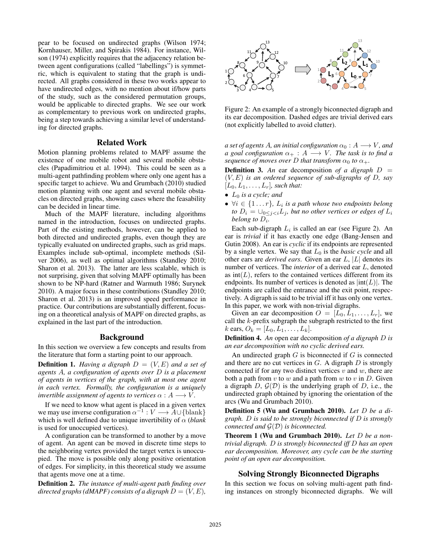pear to be focused on undirected graphs (Wilson 1974; Kornhauser, Miller, and Spirakis 1984). For instance, Wilson (1974) explicitly requires that the adjacency relation between agent configurations (called "labellings") is symmetric, which is equivalent to stating that the graph is undirected. All graphs considered in these two works appear to have undirected edges, with no mention about if/how parts of the study, such as the considered permutation groups, would be applicable to directed graphs. We see our work as complementary to previous work on undirected graphs, being a step towards achieving a similar level of understanding for directed graphs.

### Related Work

Motion planning problems related to MAPF assume the existence of one mobile robot and several mobile obstacles (Papadimitriou et al. 1994). This could be seen as a multi-agent pathfinding problem where only one agent has a specific target to achieve. Wu and Grumbach (2010) studied motion planning with one agent and several mobile obstacles on directed graphs, showing cases where the feasability can be decided in linear time.

Much of the MAPF literature, including algorithms named in the introduction, focuses on undirected graphs. Part of the existing methods, however, can be applied to both directed and undirected graphs, even though they are typically evaluated on undirected graphs, such as grid maps. Examples include sub-optimal, incomplete methods (Silver 2006), as well as optimal algorithms (Standley 2010; Sharon et al. 2013). The latter are less scalable, which is not surprising, given that solving MAPF optimally has been shown to be NP-hard (Ratner and Warmuth 1986; Surynek 2010). A major focus in these contributions (Standley 2010; Sharon et al. 2013) is an improved speed performance in practice. Our contributions are substantially different, focusing on a theoretical analysis of MAPF on directed graphs, as explained in the last part of the introduction.

#### Background

In this section we overview a few concepts and results from the literature that form a starting point to our approach.

**Definition 1.** *Having a digraph*  $D = (V, E)$  *and a set of agents* A*, a configuration of agents over* D *is a placement of agents in vertices of the graph, with at most one agent in each vertex. Formally, the configuration is a uniquely invertible assignment of agents to vertices*  $\alpha : A \longrightarrow V$ .

If we need to know what agent is placed in a given vertex we may use inverse configuration  $\alpha^{-1}: V \longrightarrow A \cup \{\text{blank}\}\$ which is well defined due to unique invertibility of  $\alpha$  (*blank*) is used for unoccupied vertices).

A configuration can be transformed to another by a move of agent. An agent can be moved in discrete time steps to the neighboring vertex provided the target vertex is unoccupied. The move is possible only along positive orientation of edges. For simplicity, in this theoretical study we assume that agents move one at a time.

Definition 2. *The instance of multi-agent path finding over directed graphs (dMAPF) consists of a digraph*  $D = (V, E)$ *,* 



Figure 2: An example of a strongly biconnected digraph and its ear decomposition. Dashed edges are trivial derived ears (not explicitly labelled to avoid clutter).

*a set of agents A, an initial configuration*  $\alpha_0 : A \longrightarrow V$ *, and a goal configuration*  $\alpha_+ : A \longrightarrow V$ *. The task is to find a sequence of moves over* D *that transform*  $\alpha_0$  *to*  $\alpha_+$ *.* 

**Definition 3.** An ear decomposition of a digraph  $D =$ (V, E) *is an ordered sequence of sub-digraphs of* D*, say*  $[L_0, L_1, \ldots, L_r]$ *, such that:* 

- L<sup>0</sup> *is a cycle; and*
- $\bullet$   $\forall i \in \{1 \dots r\}$ ,  $L_i$  is a path whose two endpoints belong *to*  $D_i = \bigcup_{0 \leq j < i} L_j$ *, but no other vertices or edges of*  $L_i$ *belong to* D<sup>i</sup> *.*

Each sub-digraph  $L_i$  is called an ear (see Figure 2). An ear is *trivial* if it has exactly one edge (Bang-Jensen and Gutin 2008). An ear is *cyclic* if its endpoints are represented by a single vertex. We say that  $L_0$  is the *basic cycle* and all other ears are *derived ears*. Given an ear L, |L| denotes its number of vertices. The *interior* of a derived ear L, denoted as  $\text{int}(L)$ , refers to the contained vertices different from its endpoints. Its number of vertices is denoted as  $|int(L)|$ . The endpoints are called the entrance and the exit point, respectively. A digraph is said to be trivial iff it has only one vertex. In this paper, we work with non-trivial digraphs.

Given an ear decomposition  $O = [L_0, L_1, \ldots, L_r]$ , we call the k-prefix subgraph the subgraph restricted to the first k ears,  $O_k = [L_0, L_1, \ldots, L_k].$ 

Definition 4. *An* open ear decomposition *of a digraph* D *is an ear decomposition with no cyclic derived ears.*

An undirected graph  $G$  is biconnected if  $G$  is connected and there are no cut vertices in  $G$ . A digraph  $D$  is strongly connected if for any two distinct vertices  $v$  and  $w$ , there are both a path from  $v$  to  $w$  and a path from  $w$  to  $v$  in  $D$ . Given a digraph  $D$ ,  $G(D)$  is the underlying graph of D, i.e., the undirected graph obtained by ignoring the orientation of the arcs (Wu and Grumbach 2010).

Definition 5 (Wu and Grumbach 2010). *Let* D *be a digraph.* D *is said to be strongly biconnected if* D *is strongly connected and* G(D) *is biconnected.*

Theorem 1 (Wu and Grumbach 2010). *Let* D *be a nontrivial digraph.* D *is strongly biconnected iff* D *has an open ear decomposition. Moreover, any cycle can be the starting point of an open ear decomposition.*

#### Solving Strongly Biconnected Digraphs

In this section we focus on solving multi-agent path finding instances on strongly biconnected digraphs. We will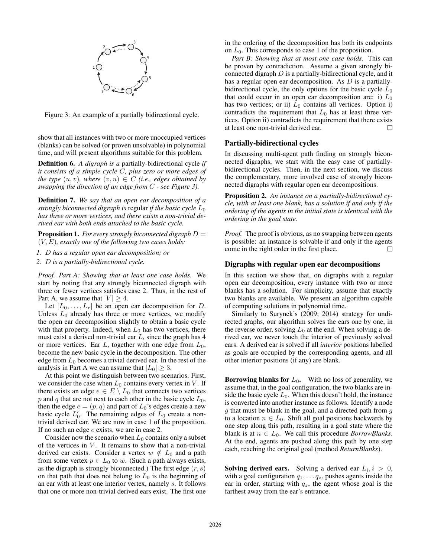

Figure 3: An example of a partially bidirectional cycle.

show that all instances with two or more unoccupied vertices (blanks) can be solved (or proven unsolvable) in polynomial time, and will present algorithms suitable for this problem.

Definition 6. *A digraph is a* partially-bidirectional cycle *if it consists of a simple cycle* C*, plus zero or more edges of the type*  $(u, v)$ *, where*  $(v, u) \in C$  *(i.e., edges obtained by swapping the direction of an edge from* C *- see Figure 3).*

Definition 7. *We say that an open ear decomposition of a strongly biconnected digraph is* regular *if the basic cycle*  $L_0$ *has three or more vertices, and there exists a non-trivial derived ear with both ends attached to the basic cycle.*

Proposition 1. *For every strongly biconnected digraph* D = (V, E)*, exactly one of the following two cases holds:*

*1.* D *has a regular open ear decomposition; or*

*2.* D *is a partially-bidirectional cycle.*

*Proof. Part A: Showing that at least one case holds.* We start by noting that any strongly biconnected digraph with three or fewer vertices satisfies case 2. Thus, in the rest of Part A, we assume that  $|V| > 4$ .

Let  $[L_0, \ldots, L_r]$  be an open ear decomposition for D. Unless  $L_0$  already has three or more vertices, we modify the open ear decomposition slightly to obtain a basic cycle with that property. Indeed, when  $L_0$  has two vertices, there must exist a derived non-trivial ear  $L$ , since the graph has  $4$ or more vertices. Ear  $L$ , together with one edge from  $L_0$ , become the new basic cycle in the decomposition. The other edge from  $L_0$  becomes a trivial derived ear. In the rest of the analysis in Part A we can assume that  $|L_0| \geq 3$ .

At this point we distinguish between two scenarios. First, we consider the case when  $L_0$  contains every vertex in V. If there exists an edge  $e \in E \setminus L_0$  that connects two vertices p and q that are not next to each other in the basic cycle  $L_0$ , then the edge  $e = (p, q)$  and part of  $L_0$ 's edges create a new basic cycle  $L'_0$ . The remaining edges of  $\overline{L}_0$  create a nontrivial derived ear. We are now in case 1 of the proposition. If no such an edge e exists, we are in case 2.

Consider now the scenario when  $L_0$  contains only a subset of the vertices in  $V$ . It remains to show that a non-trivial derived ear exists. Consider a vertex  $w \notin L_0$  and a path from some vertex  $p \in L_0$  to w. (Such a path always exists, as the digraph is strongly biconnected.) The first edge  $(r, s)$ on that path that does not belong to  $L_0$  is the beginning of an ear with at least one interior vertex, namely s. It follows that one or more non-trivial derived ears exist. The first one

in the ordering of the decomposition has both its endpoints on  $L_0$ . This corresponds to case 1 of the proposition.

*Part B: Showing that at most one case holds.* This can be proven by contradiction. Assume a given strongly biconnected digraph  $D$  is a partially-bidirectional cycle, and it has a regular open ear decomposition. As D is a partiallybidirectional cycle, the only options for the basic cycle  $L_0$ that could occur in an open ear decomposition are: i)  $L_0$ has two vertices; or ii)  $L_0$  contains all vertices. Option i) contradicts the requirement that  $L_0$  has at least three vertices. Option ii) contradicts the requirement that there exists at least one non-trivial derived ear.

# Partially-bidirectional cycles

In discussing multi-agent path finding on strongly biconnected digraphs, we start with the easy case of partiallybidirectional cycles. Then, in the next section, we discuss the complementary, more involved case of strongly biconnected digraphs with regular open ear decompositions.

Proposition 2. *An instance on a partially-bidirectional cycle, with at least one blank, has a solution if and only if the ordering of the agents in the initial state is identical with the ordering in the goal state.*

*Proof.* The proof is obvious, as no swapping between agents is possible: an instance is solvable if and only if the agents come in the right order in the first place.  $\Box$ 

#### Digraphs with regular open ear decompositions

In this section we show that, on digraphs with a regular open ear decomposition, every instance with two or more blanks has a solution. For simplicity, assume that exactly two blanks are available. We present an algorithm capable of computing solutions in polynomial time.

Similarly to Surynek's (2009; 2014) strategy for undirected graphs, our algorithm solves the ears one by one, in the reverse order, solving  $L_0$  at the end. When solving a derived ear, we never touch the interior of previously solved ears. A derived ear is solved if all *interior* positions labelled as goals are occupied by the corresponding agents, and all other interior positions (if any) are blank.

**Borrowing blanks for**  $L_0$ . With no loss of generality, we assume that, in the goal configuration, the two blanks are inside the basic cycle  $L_0$ . When this doesn't hold, the instance is converted into another instance as follows. Identify a node  $q$  that must be blank in the goal, and a directed path from  $q$ to a location  $n \in L_0$ . Shift all goal positions backwards by one step along this path, resulting in a goal state where the blank is at  $n \in L_0$ . We call this procedure *BorrowBlanks*. At the end, agents are pushed along this path by one step each, reaching the original goal (method *ReturnBlanks*).

**Solving derived ears.** Solving a derived ear  $L_i$ ,  $i > 0$ , with a goal configuration  $q_1, \ldots, q_z$ , pushes agents inside the ear in order, starting with  $q_z$ , the agent whose goal is the farthest away from the ear's entrance.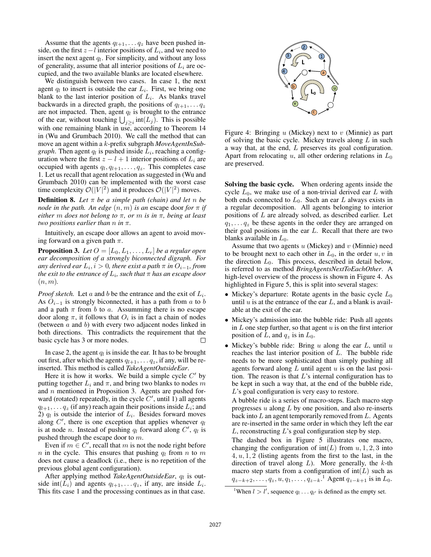Assume that the agents  $q_{l+1}, \ldots, q_z$  have been pushed inside, on the first  $z - l$  interior positions of  $L_i$ , and we need to insert the next agent  $q_l$ . For simplicity, and without any loss of generality, assume that all interior positions of  $L_i$  are occupied, and the two available blanks are located elsewhere.

We distinguish between two cases. In case 1, the next agent  $q_l$  to insert is outside the ear  $L_i$ . First, we bring one blank to the last interior position of  $L_i$ . As blanks travel backwards in a directed graph, the positions of  $q_{l+1}, \ldots, q_z$ are not impacted. Then, agent  $q_l$  is brought to the entrance of the ear, without touching  $\bigcup_{j\geq i}$  int $(L_j)$ . This is possible with one remaining blank in use, according to Theorem 14 in (Wu and Grumbach 2010). We call the method that can move an agent within a k-prefix subgraph *MoveAgentInSubgraph*. Then agent  $q_l$  is pushed inside  $L_i$ , reaching a configuration where the first  $z - l + 1$  interior positions of  $L_i$  are occupied with agents  $q_l, q_{l+1}, \ldots, q_z$ . This completes case 1. Let us recall that agent relocation as suggested in (Wu and Grumbach 2010) can be implemented with the worst case time complexity  $\mathcal{O}(|V|^2)$  and it produces  $\mathcal{O}(|V|^2)$  moves.

**Definition 8.** Let  $\pi$  be a simple path (chain) and let  $n$  be *node in the path. An edge*  $(n, m)$  *is an escape door for*  $\pi$  *if either* m *does not belong to* π*, or* m *is in* π*, being at least two positions earlier than* n *in* π*.*

Intuitively, an escape door allows an agent to avoid moving forward on a given path  $\pi$ .

**Proposition 3.** Let  $O = [L_0, L_1, \ldots, L_r]$  be a regular open *ear decomposition of a strongly biconnected digraph. For*  $a$ *ny derived ear*  $L_i$ ,  $i > 0$ , there exist a path  $\pi$  in  $O_{i-1}$ , from *the exit to the entrance of* L<sup>i</sup> *, such that* π *has an escape door* (n, m)*.*

*Proof sketch.* Let  $a$  and  $b$  be the entrance and the exit of  $L_i$ . As  $O_{i-1}$  is strongly biconnected, it has a path from a to b and a path  $\pi$  from b to a. Assumming there is no escape door along  $\pi$ , it follows that  $O_i$  is in fact a chain of nodes (between  $a$  and  $b$ ) with every two adjacent nodes linked in both directions. This contradicts the requirement that the basic cycle has 3 or more nodes.  $\Box$ 

In case 2, the agent  $q_l$  is inside the ear. It has to be brought out first, after which the agents  $q_{l+1}, \ldots q_z$ , if any, will be reinserted. This method is called *TakeAgentOutsideEar*.

Here it is how it works. We build a simple cycle  $C'$  by putting together  $L_i$  and  $\pi$ , and bring two blanks to nodes m and  $n$  mentioned in Proposition 3. Agents are pushed forward (rotated) repeatedly, in the cycle  $C'$ , until 1) all agents  $q_{l+1}, \ldots q_z$  (if any) reach again their positions inside  $L_i$ ; and 2)  $q_l$  is outside the interior of  $L_i$ . Besides forward moves along  $C'$ , there is one exception that applies whenever  $q_l$ is at node *n*. Instead of pushing  $q_l$  forward along  $C'$ ,  $q_l$  is pushed through the escape door to  $m$ .

Even if  $m \in C'$ , recall that m is not the node right before *n* in the cycle. This ensures that pushing  $q_l$  from *n* to *m* does not cause a deadlock (i.e., there is no repetition of the previous global agent configuration).

After applying method TakeAgentOutsideEar, q<sub>l</sub> is outside int( $L_i$ ) and agents  $q_{l+1}, \ldots q_z$ , if any, are inside  $L_i$ . This fits case 1 and the processing continues as in that case.



Figure 4: Bringing  $u$  (Mickey) next to  $v$  (Minnie) as part of solving the basic cycle. Mickey travels along L in such a way that, at the end, L preserves its goal configuration. Apart from relocating u, all other ordering relations in  $L_0$ are preserved.

Solving the basic cycle. When ordering agents inside the cycle  $L_0$ , we make use of a non-trivial derived ear  $L$  with both ends connected to  $L_0$ . Such an ear L always exists in a regular decomposition. All agents belonging to interior positions of L are already solved, as described earlier. Let  $q_1, \ldots q_z$  be these agents in the order they are arranged on their goal positions in the ear  $L$ . Recall that there are two blanks available in  $L_0$ .

Assume that two agents  $u$  (Mickey) and  $v$  (Minnie) need to be brought next to each other in  $L_0$ , in the order  $u, v$  in the direction  $L_0$ . This process, described in detail below, is referred to as method *BringAgentsNextToEachOther*. A high-level overview of the process is shown in Figure 4. As highlighted in Figure 5, this is split into several stages:

- Mickey's departure: Rotate agents in the basic cycle  $L_0$ until  $u$  is at the entrance of the ear  $L$ , and a blank is available at the exit of the ear.
- Mickey's admission into the bubble ride: Push all agents in  $L$  one step further, so that agent  $u$  is on the first interior position of L, and  $q_z$  is in  $L_0$ .
- Mickey's bubble ride: Bring  $u$  along the ear  $L$ , until  $u$ reaches the last interior position of  $L$ . The bubble ride needs to be more sophisticated than simply pushing all agents forward along  $L$  until agent  $u$  is on the last position. The reason is that  $L$ 's internal configuration has to be kept in such a way that, at the end of the bubble ride, L's goal configuration is very easy to restore.

A bubble ride is a series of macro-steps. Each macro step progresses  $u$  along  $L$  by one position, and also re-inserts back into  $L$  an agent temporarily removed from  $L$ . Agents are re-inserted in the same order in which they left the ear  $L$ , reconstructing  $L$ 's goal configuration step by step.

The dashed box in Figure 5 illustrates one macro, changing the configuration of  $int(L)$  from  $u, 1, 2, 3$  into  $4, u, 1, 2$  (listing agents from the first to the last, in the direction of travel along  $L$ ). More generally, the  $k$ -th macro step starts from a configuration of  $int(L)$  such as  $q_{z-k+2}, \ldots, q_z, u, q_1, \ldots, q_{z-k}.$ <sup>1</sup> Agent  $q_{z-k+1}$  is in  $L_0$ .

<sup>&</sup>lt;sup>1</sup>When  $l > l'$ , sequence  $q_l \dots q_{l'}$  is defined as the empty set.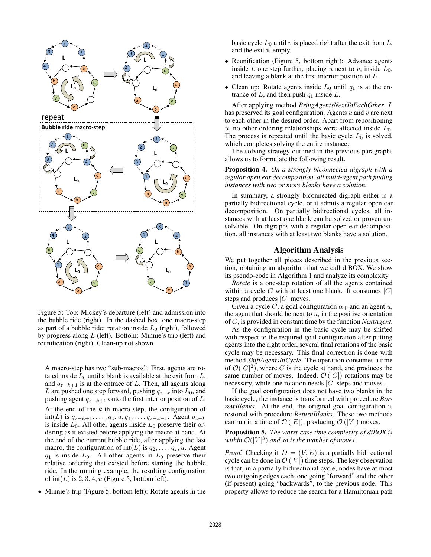

Figure 5: Top: Mickey's departure (left) and admission into the bubble ride (right). In the dashed box, one macro-step as part of a bubble ride: rotation inside  $L_0$  (right), followed by progress along  $L$  (left). Bottom: Minnie's trip (left) and reunification (right). Clean-up not shown.

A macro-step has two "sub-macros". First, agents are rotated inside  $L_0$  until a blank is available at the exit from  $L$ , and  $q_{z-k+1}$  is at the entrace of L. Then, all agents along L are pushed one step forward, pushing  $q_{z-k}$  into  $L_0$ , and pushing agent  $q_{z-k+1}$  onto the first interior position of L. At the end of the  $k$ -th macro step, the configuration of  $int(L)$  is  $q_{z-k+1}, \ldots, q_z, u, q_1, \ldots, q_{z-k-1}$ . Agent  $q_{z-k}$ is inside  $L_0$ . All other agents inside  $L_0$  preserve their ordering as it existed before applying the macro at hand. At the end of the current bubble ride, after applying the last macro, the configuration of  $int(L)$  is  $q_2, \ldots, q_z, u$ . Agent  $q_1$  is inside  $L_0$ . All other agents in  $L_0$  preserve their relative ordering that existed before starting the bubble ride. In the running example, the resulting configuration of  $int(L)$  is 2, 3, 4, u (Figure 5, bottom left).

• Minnie's trip (Figure 5, bottom left): Rotate agents in the

basic cycle  $L_0$  until v is placed right after the exit from  $L$ , and the exit is empty.

- Reunification (Figure 5, bottom right): Advance agents inside L one step further, placing u next to v, inside  $L_0$ , and leaving a blank at the first interior position of L.
- Clean up: Rotate agents inside  $L_0$  until  $q_1$  is at the entrance of  $L$ , and then push  $q_1$  inside  $L$ .

After applying method *BringAgentsNextToEachOther*, L has preserved its goal configuration. Agents  $u$  and  $v$  are next to each other in the desired order. Apart from repositioning u, no other ordering relationships were affected inside  $L_0$ . The process is repeated until the basic cycle  $L_0$  is solved, which completes solving the entire instance.

The solving strategy outlined in the previous paragraphs allows us to formulate the following result.

### Proposition 4. *On a strongly biconnected digraph with a regular open ear decomposition, all multi-agent path finding instances with two or more blanks have a solution.*

In summary, a strongly biconnected digraph either is a partially bidirectional cycle, or it admits a regular open ear decomposition. On partially bidirectional cycles, all instances with at least one blank can be solved or proven unsolvable. On digraphs with a regular open ear decomposition, all instances with at least two blanks have a solution.

# Algorithm Analysis

We put together all pieces described in the previous section, obtaining an algorithm that we call diBOX. We show its pseudo-code in Algorithm 1 and analyze its complexity.

*Rotate* is a one-step rotation of all the agents contained within a cycle C with at least one blank. It consumes  $|C|$ steps and produces  $|C|$  moves.

Given a cycle C, a goal configuration  $\alpha_+$  and an agent u, the agent that should be next to  $u$ , in the positive orientation of C, is provided in constant time by the function *NextAgent*.

As the configuration in the basic cycle may be shifted with respect to the required goal configuration after putting agents into the right order, several final rotations of the basic cycle may be necessary. This final correction is done with method *ShiftAgentsInCycle*. The operation consumes a time of  $\mathcal{O}(|C|^2)$ , where C is the cycle at hand, and produces the same number of moves. Indeed,  $\mathcal{O}(|C|)$  rotations may be necessary, while one rotation needs  $|C|$  steps and moves.

If the goal configuration does not have two blanks in the basic cycle, the instance is transformed with procedure *BorrowBlanks*. At the end, the original goal configuration is restored with procedure *ReturnBlanks*. These two methods can run in a time of  $\mathcal{O}(|E|)$ , producing  $\mathcal{O}(|V|)$  moves.

# Proposition 5. *The worst-case time complexity of diBOX is* within  $\mathcal{O}(|V|^3)$  and so is the number of moves.

*Proof.* Checking if  $D = (V, E)$  is a partially bidirectional cycle can be done in  $\mathcal{O}(|V|)$  time steps. The key observation is that, in a partially bidirectional cycle, nodes have at most two outgoing edges each, one going "forward" and the other (if present) going "backwards", to the previous node. This property allows to reduce the search for a Hamiltonian path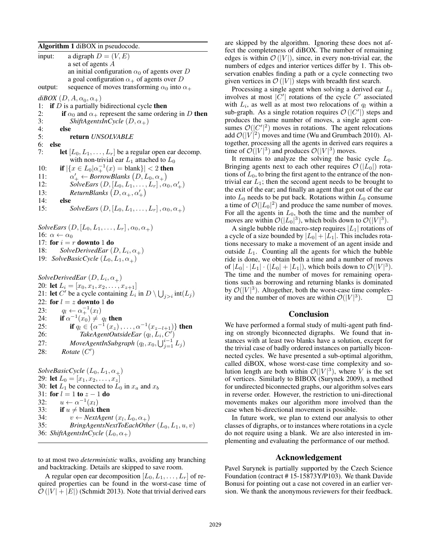Algorithm 1 diBOX in pseudocode.

input: a digraph  $D = (V, E)$ a set of agents A an initial configuration  $\alpha_0$  of agents over D a goal configuration  $\alpha_+$  of agents over D output: sequence of moves transforming  $\alpha_0$  into  $\alpha_+$  $diBOX(D, A, \alpha_0, \alpha_+)$ 1: if  $D$  is a partially bidirectional cycle then 2: if  $\alpha_0$  and  $\alpha_+$  represent the same ordering in D then<br>3: *ShiftAgentsInCycle* (D,  $\alpha_+$ ) 3: *ShiftAgentsInCycle*  $(D, \alpha_+)$ <br>4: **else** else 5: return *UNSOLVABLE* 6: else 7: **let**  $[L_0, L_1, \ldots, L_r]$  be a regular open ear decomp. with non-trivial ear  $L_1$  attached to  $L_0$ 10: **if**  $|\{x \in L_0 | \alpha_+^{-1}(x) = \text{blank}\}| < 2$  then  $11:$  $\mathcal{O}'_+ \leftarrow \textit{BorrowBlanks}\left(D, L_0, \alpha_+\right)$ 12: *SolveEars*  $(D, [L_0, L_1, \ldots, L_r], \alpha_0, \alpha'_+)$ 13: **ReturnBlanks**  $(D, \alpha_+, \alpha'_+)$ 14: else 15: *SolveEars*  $(D, [L_0, L_1, ..., L_r], \alpha_0, \alpha_{\perp})$ *SolveEars*  $(D, [L_0, L_1, \ldots, L_r], \alpha_0, \alpha_+)$ 16:  $\alpha \leftarrow \alpha_0$ 

17: for  $i = r$  downto 1 do

18: *SolveDerivedEar*  $(D, L_i, \alpha_+)$ 19: *SolveBasicCycle*  $(L_0, L_1, \alpha_+)$ 

 $SolveDerivedEar(D, L_i, \alpha_+)$ 20: **let**  $L_i = [x_0, x_1, x_2, \dots, x_{z+1}]$ 21: let C' be a cycle containing  $L_i$  in  $D \setminus \bigcup_{j>i} \text{int}(L_j)$ 22: for  $l = z$  downto 1 do 23:  $q_l \leftarrow \alpha_+^{-1}(x_l)$ 24: if  $\alpha^{-1}(x_0) \neq q_l$  then 25: **if**  $q_l \in \{ \alpha^{-1}(x_z), \ldots, \alpha^{-1}(x_{z-l+1}) \}$  then 26: *TakeAgentOutsideEar*  $(q_l, L_i, C')$ 27: *MoveAgentInSubgraph*  $(q_l, x_0, \bigcup_{j=1}^{i-1} L_j)$ 28: *Rotate* (C')

*SolveBasicCycle*  $(L_0, L_1, \alpha_+)$ 29: let  $L_0 = [x_1, x_2, \ldots, x_z]$ 30: let  $L_1$  be connected to  $L_0$  in  $x_a$  and  $x_b$ 31: for  $l = 1$  to  $z - 1$  do 32:  $u \leftarrow \alpha^{-1}(x_l)$ 33: if  $u \neq$  blank then 34:  $v \leftarrow NextAgent(x_l, L_0, \alpha_+)$ 35: *BringAgentsNextToEachOther*  $(L_0, L_1, u, v)$ 36: *ShiftAgentsInCycle*  $(L_0, \alpha_+)$ 

to at most two *deterministic* walks, avoiding any branching and backtracking. Details are skipped to save room.

A regular open ear decomposition  $[L_0, L_1, \ldots, L_r]$  of required properties can be found in the worst-case time of  $\mathcal{O}(|V| + |E|)$  (Schmidt 2013). Note that trivial derived ears

are skipped by the algorithm. Ignoring these does not affect the completeness of diBOX. The number of remaining edges is within  $\mathcal{O}(|V|)$ , since, in every non-trivial ear, the numbers of edges and interior vertices differ by 1. This observation enables finding a path or a cycle connecting two given vertices in  $\mathcal{O}(|V|)$  steps with breadth first search.

Processing a single agent when solving a derived ear  $L_i$ involves at most  $|C'|$  rotations of the cycle  $C'$  associated with  $L_i$ , as well as at most two relocations of  $q_l$  within a sub-graph. As a single rotation requires  $\mathcal{O}(|C'|)$  steps and produces the same number of moves, a single agent consumes  $\mathcal{O}(|C'|^2)$  moves in rotations. The agent relocations add  $\mathcal{O}(|V|^2)$  moves and time (Wu and Grumbach 2010). Altogether, processing all the agents in derived ears requires a time of  $\mathcal{O}(|V|^3)$  and produces  $\mathcal{O}(|V|^3)$  moves.

It remains to analyze the solving the basic cycle  $L_0$ . Bringing agents next to each other requires  $\mathcal{O}(|L_0|)$  rotations of  $L_0$ , to bring the first agent to the entrance of the nontrivial ear  $L_1$ ; then the second agent needs to be brought to the exit of the ear; and finally an agent that got out of the ear into  $L_0$  needs to be put back. Rotations within  $L_0$  consume a time of  $\mathcal{O}(|L_0|^2)$  and produce the same number of moves. For all the agents in  $L_0$ , both the time and the number of moves are within  $\mathcal{O}(|L_0|^3)$ , which boils down to  $\mathcal{O}(|V|^3)$ .

A single bubble ride macro-step requires  $|L_1|$  rotations of a cycle of a size bounded by  $|L_0| + |L_1|$ . This includes rotations necessary to make a movement of an agent inside and outside  $L_1$ . Counting all the agents for which the bubble ride is done, we obtain both a time and a number of moves of  $|L_0| \cdot |L_1| \cdot (|L_0| + |L_1|)$ , which boils down to  $\mathcal{O}(|V|^3)$ . The time and the number of moves for remaining operations such as borrowing and returning blanks is dominated by  $\mathcal{O}(|V|^3)$ . Altogether, both the worst-case time complexity and the number of moves are within  $\mathcal{O}(|V|^3)$ . П

# Conclusion

We have performed a formal study of multi-agent path finding on strongly biconnected digraphs. We found that instances with at least two blanks have a solution, except for the trivial case of badly ordered instances on partially biconnected cycles. We have presented a sub-optimal algorithm, called diBOX, whose worst-case time complexity and solution length are both within  $\mathcal{O}(|V|^3)$ , where V is the set of vertices. Similarly to BIBOX (Surynek 2009), a method for undirected biconnected graphs, our algorithm solves ears in reverse order. However, the restriction to uni-directional movements makes our algorithm more involved than the case when bi-directional movement is possible.

In future work, we plan to extend our analysis to other classes of digraphs, or to instances where rotations in a cycle do not require using a blank. We are also interested in implementing and evaluating the performance of our method.

### Acknowledgement

Pavel Surynek is partially supported by the Czech Science Foundation (contract # 15-15873Y/P103). We thank Davide Bonusi for pointing out a case not covered in an earlier version. We thank the anonymous reviewers for their feedback.